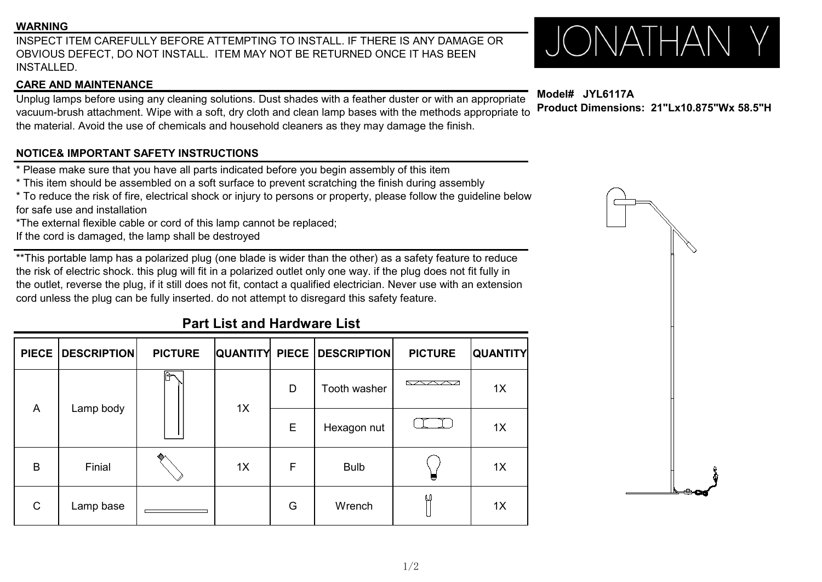### **WARNING**

INSPECT ITEM CAREFULLY BEFORE ATTEMPTING TO INSTALL. IF THERE IS ANY DAMAGE OR SANDONG THE TRISPECT ON NOT INSTALL. IF THERE IS ANY DAMAGE OR SANDONG THE RESERVIAL AND THE RESERVIAL ORDER FOR THE RESERVIAL ORDER ON A REPOR OBVIOUS DEFECT, DO NOT INSTALL. ITEM MAY NOT BE RETURNED ONCE IT HAS BEEN INSTALLED.

### **CARE AND MAINTENANCE**

# Unplug lamps before using any cleaning solutions. Dust shades with a feather duster or with an appropriate vacuum-brush attachment. Wipe with a soft, dry cloth and clean lamp bases with the methods appropriate to the material. Avoid the use of chemicals and household cleaners as they may damage the finish.

# **NOTICE& IMPORTANT SAFETY INSTRUCTIONS**

\* Please make sure that you have all parts indicated before you begin assembly of this item

\* This item should be assembled on a soft surface to prevent scratching the finish during assembly

\* To reduce the risk of fire, electrical shock or injury to persons or property, please follow the guideline below for safe use and installation

\*The external flexible cable or cord of this lamp cannot be replaced;

If the cord is damaged, the lamp shall be destroyed

\*\*This portable lamp has a polarized plug (one blade iswider than the other) as a safety feature to reduce the risk of electric shock. this plug will fit in a polarized outlet only one way. if the plug does not fit fully in the outlet, reverse the plug, if it still does not fit, contact a qualified electrician. Never use with an extension cord unless the plug can be fully inserted, do not attempt to disregard this safety feature.

# **Part List and Hardware List**

|                | PIECE DESCRIPTION | <b>PICTURE</b> |    |   | QUANTITY PIECE DESCRIPTION | <b>PICTURE</b>       | <b>QUANTITY</b> |
|----------------|-------------------|----------------|----|---|----------------------------|----------------------|-----------------|
| $\overline{A}$ | Lamp body         | $\overline{a}$ | 1X | D | Tooth washer               | <u> Kalendari Se</u> | 1X              |
|                |                   |                |    | Е | Hexagon nut                |                      | 1X              |
| $\mathsf B$    | Finial            |                | 1X | F | <b>Bulb</b>                | U                    | 1X              |
| $\mathsf{C}$   | Lamp base         |                |    | G | Wrench                     | (U)                  | 1X              |

**Model# JYL6117A Product Dimensions: 21"Lx10.875"Wx 58.5"H**